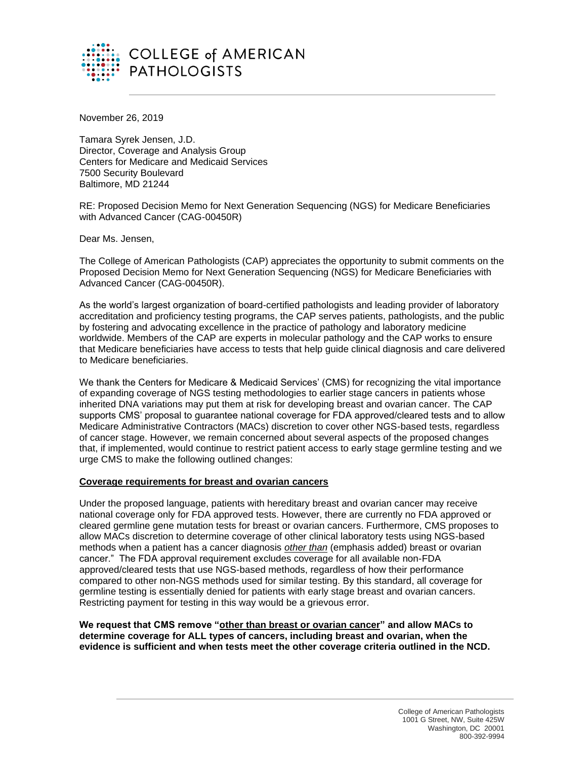

November 26, 2019

Tamara Syrek Jensen, J.D. Director, Coverage and Analysis Group Centers for Medicare and Medicaid Services 7500 Security Boulevard Baltimore, MD 21244

RE: Proposed Decision Memo for Next Generation Sequencing (NGS) for Medicare Beneficiaries with Advanced Cancer (CAG-00450R)

Dear Ms. Jensen,

The College of American Pathologists (CAP) appreciates the opportunity to submit comments on the Proposed Decision Memo for Next Generation Sequencing (NGS) for Medicare Beneficiaries with Advanced Cancer (CAG-00450R).

As the world's largest organization of board-certified pathologists and leading provider of laboratory accreditation and proficiency testing programs, the CAP serves patients, pathologists, and the public by fostering and advocating excellence in the practice of pathology and laboratory medicine worldwide. Members of the CAP are experts in molecular pathology and the CAP works to ensure that Medicare beneficiaries have access to tests that help guide clinical diagnosis and care delivered to Medicare beneficiaries.

We thank the Centers for Medicare & Medicaid Services' (CMS) for recognizing the vital importance of expanding coverage of NGS testing methodologies to earlier stage cancers in patients whose inherited DNA variations may put them at risk for developing breast and ovarian cancer. The CAP supports CMS' proposal to guarantee national coverage for FDA approved/cleared tests and to allow Medicare Administrative Contractors (MACs) discretion to cover other NGS-based tests, regardless of cancer stage. However, we remain concerned about several aspects of the proposed changes that, if implemented, would continue to restrict patient access to early stage germline testing and we urge CMS to make the following outlined changes:

## **Coverage requirements for breast and ovarian cancers**

Under the proposed language, patients with hereditary breast and ovarian cancer may receive national coverage only for FDA approved tests. However, there are currently no FDA approved or cleared germline gene mutation tests for breast or ovarian cancers. Furthermore, CMS proposes to allow MACs discretion to determine coverage of other clinical laboratory tests using NGS-based methods when a patient has a cancer diagnosis *other than* (emphasis added) breast or ovarian cancer." The FDA approval requirement excludes coverage for all available non-FDA approved/cleared tests that use NGS-based methods, regardless of how their performance compared to other non-NGS methods used for similar testing. By this standard, all coverage for germline testing is essentially denied for patients with early stage breast and ovarian cancers. Restricting payment for testing in this way would be a grievous error.

**We request that CMS remove "other than breast or ovarian cancer" and allow MACs to determine coverage for ALL types of cancers, including breast and ovarian, when the evidence is sufficient and when tests meet the other coverage criteria outlined in the NCD.**